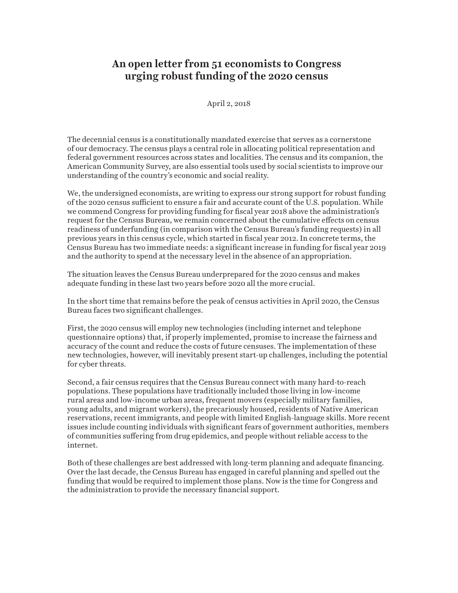## **An open letter from 51 economists to Congress urging robust funding of the 2020 census**

April 2, 2018

The decennial census is a constitutionally mandated exercise that serves as a cornerstone of our democracy. The census plays a central role in allocating political representation and federal government resources across states and localities. The census and its companion, the American Community Survey, are also essential tools used by social scientists to improve our understanding of the country's economic and social reality.

We, the undersigned economists, are writing to express our strong support for robust funding of the 2020 census sufficient to ensure a fair and accurate count of the U.S. population. While we commend Congress for providing funding for fiscal year 2018 above the administration's request for the Census Bureau, we remain concerned about the cumulative effects on census readiness of underfunding (in comparison with the Census Bureau's funding requests) in all previous years in this census cycle, which started in fiscal year 2012. In concrete terms, the Census Bureau has two immediate needs: a significant increase in funding for fiscal year 2019 and the authority to spend at the necessary level in the absence of an appropriation.

The situation leaves the Census Bureau underprepared for the 2020 census and makes adequate funding in these last two years before 2020 all the more crucial.

In the short time that remains before the peak of census activities in April 2020, the Census Bureau faces two significant challenges.

First, the 2020 census will employ new technologies (including internet and telephone questionnaire options) that, if properly implemented, promise to increase the fairness and accuracy of the count and reduce the costs of future censuses. The implementation of these new technologies, however, will inevitably present start-up challenges, including the potential for cyber threats.

Second, a fair census requires that the Census Bureau connect with many hard-to-reach populations. These populations have traditionally included those living in low-income rural areas and low-income urban areas, frequent movers (especially military families, young adults, and migrant workers), the precariously housed, residents of Native American reservations, recent immigrants, and people with limited English-language skills. More recent issues include counting individuals with significant fears of government authorities, members of communities suffering from drug epidemics, and people without reliable access to the internet.

Both of these challenges are best addressed with long-term planning and adequate financing. Over the last decade, the Census Bureau has engaged in careful planning and spelled out the funding that would be required to implement those plans. Now is the time for Congress and the administration to provide the necessary financial support.